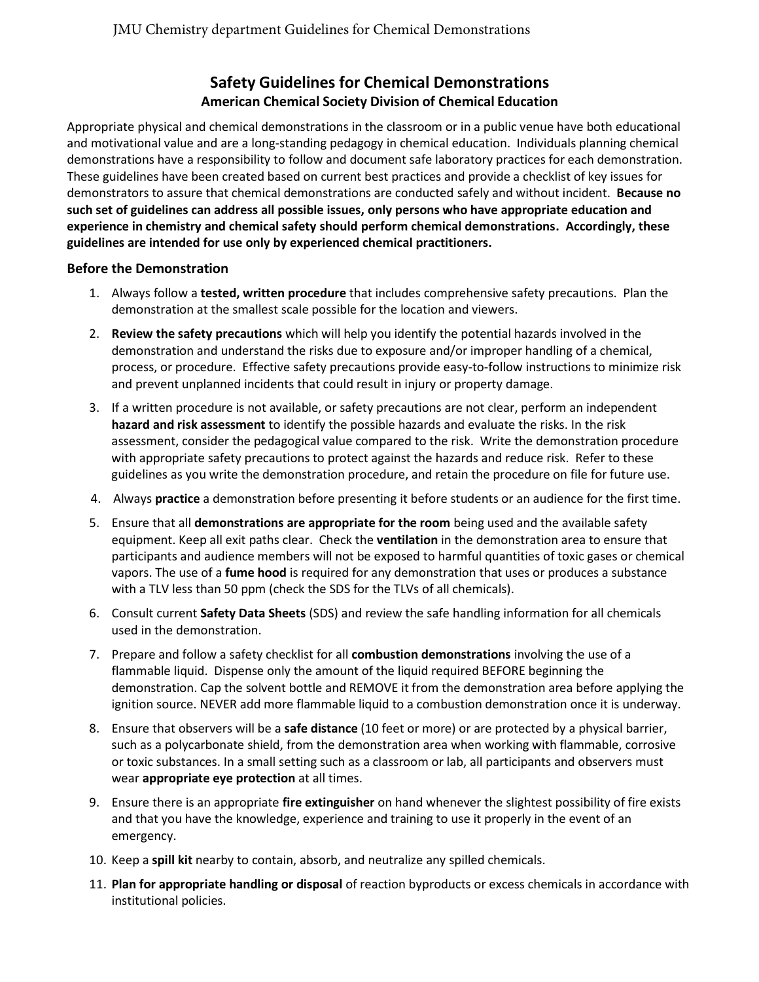# **Safety Guidelines for Chemical Demonstrations American Chemical Society Division of Chemical Education**

Appropriate physical and chemical demonstrations in the classroom or in a public venue have both educational and motivational value and are a long-standing pedagogy in chemical education. Individuals planning chemical demonstrations have a responsibility to follow and document safe laboratory practices for each demonstration. These guidelines have been created based on current best practices and provide a checklist of key issues for demonstrators to assure that chemical demonstrations are conducted safely and without incident. **Because no such set of guidelines can address all possible issues, only persons who have appropriate education and experience in chemistry and chemical safety should perform chemical demonstrations. Accordingly, these guidelines are intended for use only by experienced chemical practitioners.** 

## **Before the Demonstration**

- 1. Always follow a **tested, written procedure** that includes comprehensive safety precautions. Plan the demonstration at the smallest scale possible for the location and viewers.
- 2. **Review the safety precautions** which will help you identify the potential hazards involved in the demonstration and understand the risks due to exposure and/or improper handling of a chemical, process, or procedure. Effective safety precautions provide easy-to-follow instructions to minimize risk and prevent unplanned incidents that could result in injury or property damage.
- 3. If a written procedure is not available, or safety precautions are not clear, perform an independent **hazard and risk assessment** to identify the possible hazards and evaluate the risks. In the risk assessment, consider the pedagogical value compared to the risk. Write the demonstration procedure with appropriate safety precautions to protect against the hazards and reduce risk. Refer to these guidelines as you write the demonstration procedure, and retain the procedure on file for future use.
- 4. Always **practice** a demonstration before presenting it before students or an audience for the first time.
- 5. Ensure that all **demonstrations are appropriate for the room** being used and the available safety equipment. Keep all exit paths clear. Check the **ventilation** in the demonstration area to ensure that participants and audience members will not be exposed to harmful quantities of toxic gases or chemical vapors. The use of a **fume hood** is required for any demonstration that uses or produces a substance with a TLV less than 50 ppm (check the SDS for the TLVs of all chemicals).
- 6. Consult current **Safety Data Sheets** (SDS) and review the safe handling information for all chemicals used in the demonstration.
- 7. Prepare and follow a safety checklist for all **combustion demonstrations** involving the use of a flammable liquid. Dispense only the amount of the liquid required BEFORE beginning the demonstration. Cap the solvent bottle and REMOVE it from the demonstration area before applying the ignition source. NEVER add more flammable liquid to a combustion demonstration once it is underway.
- 8. Ensure that observers will be a **safe distance** (10 feet or more) or are protected by a physical barrier, such as a polycarbonate shield, from the demonstration area when working with flammable, corrosive or toxic substances. In a small setting such as a classroom or lab, all participants and observers must wear **appropriate eye protection** at all times.
- 9. Ensure there is an appropriate **fire extinguisher** on hand whenever the slightest possibility of fire exists and that you have the knowledge, experience and training to use it properly in the event of an emergency.
- 10. Keep a **spill kit** nearby to contain, absorb, and neutralize any spilled chemicals.
- 11. **Plan for appropriate handling or disposal** of reaction byproducts or excess chemicals in accordance with institutional policies.